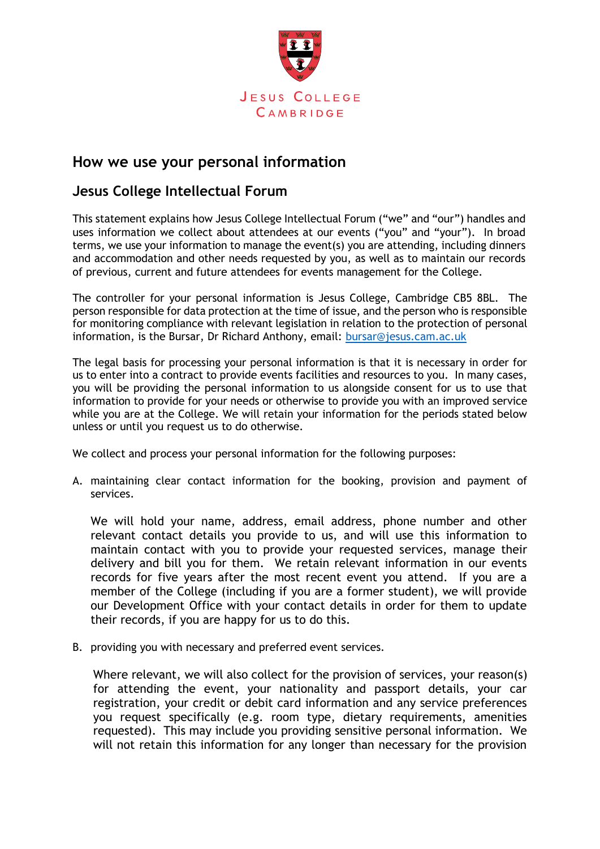

## **How we use your personal information**

## **Jesus College Intellectual Forum**

This statement explains how Jesus College Intellectual Forum ("we" and "our") handles and uses information we collect about attendees at our events ("you" and "your"). In broad terms, we use your information to manage the event(s) you are attending, including dinners and accommodation and other needs requested by you, as well as to maintain our records of previous, current and future attendees for events management for the College.

The controller for your personal information is Jesus College, Cambridge CB5 8BL. The person responsible for data protection at the time of issue, and the person who is responsible for monitoring compliance with relevant legislation in relation to the protection of personal information, is the Bursar, Dr Richard Anthony, email: [bursar@jesus.cam.ac.uk](mailto:bursar@jesus.cam.ac.uk)

The legal basis for processing your personal information is that it is necessary in order for us to enter into a contract to provide events facilities and resources to you. In many cases, you will be providing the personal information to us alongside consent for us to use that information to provide for your needs or otherwise to provide you with an improved service while you are at the College. We will retain your information for the periods stated below unless or until you request us to do otherwise.

We collect and process your personal information for the following purposes:

A. maintaining clear contact information for the booking, provision and payment of services.

We will hold your name, address, email address, phone number and other relevant contact details you provide to us, and will use this information to maintain contact with you to provide your requested services, manage their delivery and bill you for them. We retain relevant information in our events records for five years after the most recent event you attend. If you are a member of the College (including if you are a former student), we will provide our Development Office with your contact details in order for them to update their records, if you are happy for us to do this.

B. providing you with necessary and preferred event services.

Where relevant, we will also collect for the provision of services, your reason(s) for attending the event, your nationality and passport details, your car registration, your credit or debit card information and any service preferences you request specifically (e.g. room type, dietary requirements, amenities requested). This may include you providing sensitive personal information. We will not retain this information for any longer than necessary for the provision